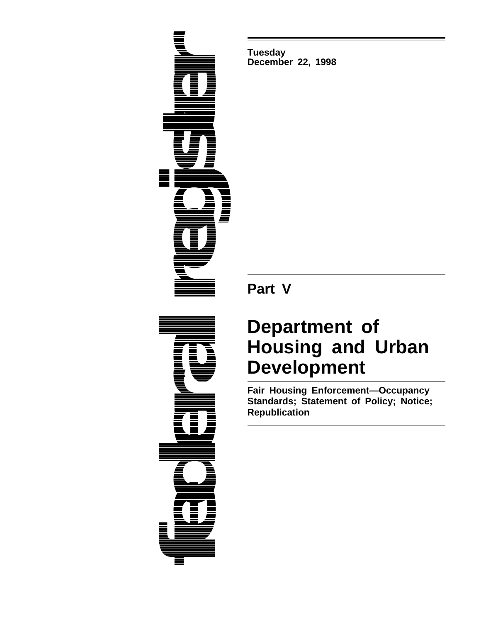

**Tuesday December 22, 1998**

# **Part V**

# **Department of Housing and Urban Development**

**Fair Housing Enforcement—Occupancy Standards; Statement of Policy; Notice; Republication**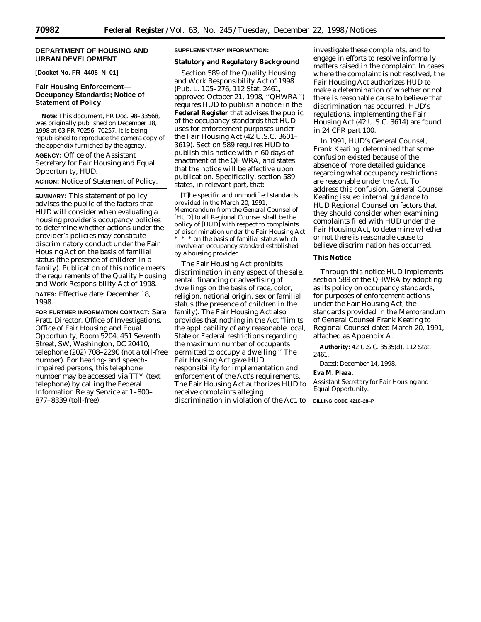#### **DEPARTMENT OF HOUSING AND URBAN DEVELOPMENT**

**[Docket No. FR–4405–N–01]**

#### **Fair Housing Enforcement— Occupancy Standards; Notice of Statement of Policy**

**Note:** This document, FR Doc. 98–33568, was originally published on December 18, 1998 at 63 FR 70256–70257. It is being republished to reproduce the camera copy of the appendix furnished by the agency.

**AGENCY:** Office of the Assistant Secretary for Fair Housing and Equal Opportunity, HUD.

#### **ACTION:** Notice of Statement of Policy.

**SUMMARY:** This statement of policy advises the public of the factors that HUD will consider when evaluating a housing provider's occupancy policies to determine whether actions under the provider's policies may constitute discriminatory conduct under the Fair Housing Act on the basis of familial status (the presence of children in a family). Publication of this notice meets the requirements of the Quality Housing and Work Responsibility Act of 1998.

**DATES:** Effective date: December 18, 1998.

**FOR FURTHER INFORMATION CONTACT:** Sara Pratt, Director, Office of Investigations, Office of Fair Housing and Equal Opportunity, Room 5204, 451 Seventh Street, SW, Washington, DC 20410, telephone (202) 708–2290 (not a toll-free number). For hearing- and speechimpaired persons, this telephone number may be accessed via TTY (text telephone) by calling the Federal Information Relay Service at 1–800– 877–8339 (toll-free).

#### **SUPPLEMENTARY INFORMATION:**

#### **Statutory and Regulatory Background**

Section 589 of the Quality Housing and Work Responsibility Act of 1998 (Pub. L. 105–276, 112 Stat. 2461, approved October 21, 1998, ''QHWRA'') requires HUD to publish a notice in the **Federal Register** that advises the public of the occupancy standards that HUD uses for enforcement purposes under the Fair Housing Act (42 U.S.C. 3601– 3619). Section 589 requires HUD to publish this notice within 60 days of enactment of the QHWRA, and states that the notice will be effective upon publication. Specifically, section 589 states, in relevant part, that:

[T]he specific and unmodified standards provided in the March 20, 1991, Memorandum from the General Counsel of [HUD] to all Regional Counsel shall be the policy of [HUD] with respect to complaints of discrimination under the Fair Housing Act \* \* \* on the basis of familial status which involve an occupancy standard established by a housing provider.

The Fair Housing Act prohibits discrimination in any aspect of the sale, rental, financing or advertising of dwellings on the basis of race, color, religion, national origin, sex or familial status (the presence of children in the family). The Fair Housing Act also provides that nothing in the Act ''limits the applicability of any reasonable local, State or Federal restrictions regarding the maximum number of occupants permitted to occupy a dwelling.'' The Fair Housing Act gave HUD responsibility for implementation and enforcement of the Act's requirements. The Fair Housing Act authorizes HUD to receive complaints alleging discrimination in violation of the Act, to

investigate these complaints, and to engage in efforts to resolve informally matters raised in the complaint. In cases where the complaint is not resolved, the Fair Housing Act authorizes HUD to make a determination of whether or not there is reasonable cause to believe that discrimination has occurred. HUD's regulations, implementing the Fair Housing Act (42 U.S.C. 3614) are found in 24 CFR part 100.

In 1991, HUD's General Counsel, Frank Keating, determined that some confusion existed because of the absence of more detailed guidance regarding what occupancy restrictions are reasonable under the Act. To address this confusion, General Counsel Keating issued internal guidance to HUD Regional Counsel on factors that they should consider when examining complaints filed with HUD under the Fair Housing Act, to determine whether or not there is reasonable cause to believe discrimination has occurred.

#### **This Notice**

Through this notice HUD implements section 589 of the QHWRA by adopting as its policy on occupancy standards, for purposes of enforcement actions under the Fair Housing Act, the standards provided in the Memorandum of General Counsel Frank Keating to Regional Counsel dated March 20, 1991, attached as Appendix A.

**Authority:** 42 U.S.C. 3535(d), 112 Stat. 2461.

Dated: December 14, 1998.

#### **Eva M. Plaza,**

*Assistant Secretary for Fair Housing and Equal Opportunity.*

**BILLING CODE 4210–28–P**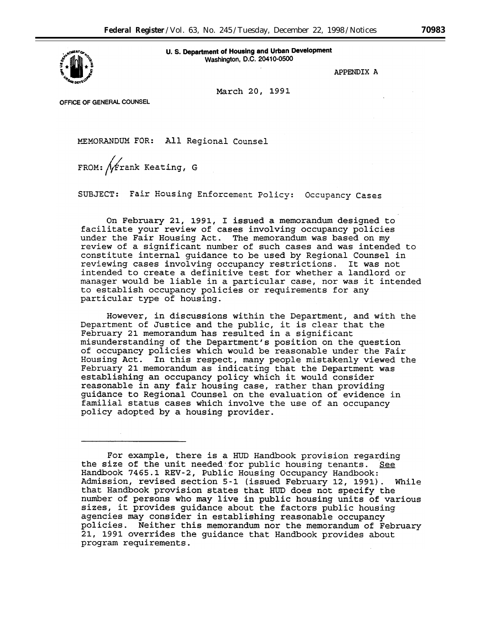

U. S. Department of Housing and Urban Development Washington, D.C. 20410-0500

APPENDIX A

March 20, 1991

OFFICE OF GENERAL COUNSEL

MEMORANDUM FOR: All Regional Counsel

FROM:  $\sqrt{x}$  rank Keating, G

SUBJECT: Fair Housing Enforcement Policy: Occupancy Cases

On February 21, 1991, I issued a memorandum designed to facilitate your review of cases involving occupancy policies under the Fair Housing Act. The memorandum was based on my review of a significant number of such cases and was intended to constitute internal guidance to be used by Regional Counsel in reviewing cases involving occupancy restrictions. It was not intended to create a definitive test for whether a landlord or manager would be liable in a particular case, nor was it intended to establish occupancy policies or requirements for any particular type of housing.

However, in discussions within the Department, and with the Department of Justice and the public, it is clear that the February 21 memorandum has resulted in a significant misunderstanding of the Department's position on the question of occupancy policies which would be reasonable under the Fair Housing Act. In this respect, many people mistakenly viewed the February 21 memorandum as indicating that the Department was establishing an occupancy policy which it would consider reasonable in any fair housing case, rather than providing guidance to Regional Counsel on the evaluation of evidence in familial status cases which involve the use of an occupancy policy adopted by a housing provider.

For example, there is a HUD Handbook provision regarding the size of the unit needed for public housing tenants. See Handbook 7465.1 REV-2, Public Housing Occupancy Handbook: Admission, revised section 5-1 (issued February 12, 1991). While that Handbook provision states that HUD does not specify the number of persons who may live in public housing units of various sizes, it provides guidance about the factors public housing agencies may consider in establishing reasonable occupancy policies. Neither this memorandum nor the memorandum of February 21, 1991 overrides the guidance that Handbook provides about program requirements.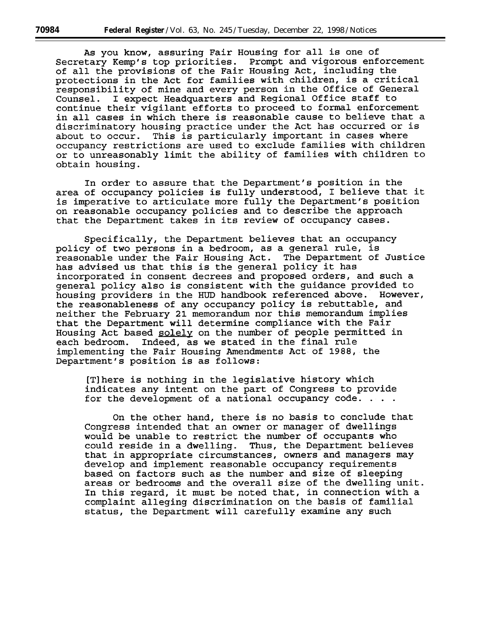As you know, assuring Fair Housing for all is one of Secretary Kemp's top priorities. Prompt and vigorous enforcement<br>of all the provisions of the Fair Housing Act, including the protections in the Act for families with children, is a critical responsibility of mine and every person in the Office of General Counsel. I expect Headquarters and Regional Office staff to continue their vigilant efforts to proceed to formal enforcement in all cases in which there is reasonable cause to believe that a discriminatory housing practice under the Act has occurred or is about to occur. This is particularly important in cases where occupancy restrictions are used to exclude families with children or to unreasonably limit the ability of families with children to obtain housing.

In order to assure that the Department's position in the area of occupancy policies is fully understood, I believe that it is imperative to articulate more fully the Department's position on reasonable occupancy policies and to describe the approach that the Department takes in its review of occupancy cases.

Specifically, the Department believes that an occupancy policy of two persons in a bedroom, as a general rule, is reasonable under the Fair Housing Act. The Department of Justice has advised us that this is the general policy it has incorporated in consent decrees and proposed orders, and such a general policy also is consistent with the guidance provided to housing providers in the HUD handbook referenced above. However, the reasonableness of any occupancy policy is rebuttable, and neither the February 21 memorandum nor this memorandum implies that the Department will determine compliance with the Fair Housing Act based solely on the number of people permitted in each bedroom. Indeed, as we stated in the final rule implementing the Fair Housing Amendments Act of 1988, the Department's position is as follows:

[T] here is nothing in the legislative history which indicates any intent on the part of Congress to provide for the development of a national occupancy code. . . .

On the other hand, there is no basis to conclude that Congress intended that an owner or manager of dwellings would be unable to restrict the number of occupants who could reside in a dwelling. Thus, the Department believes that in appropriate circumstances, owners and managers may develop and implement reasonable occupancy requirements based on factors such as the number and size of sleeping areas or bedrooms and the overall size of the dwelling unit. In this regard, it must be noted that, in connection with a complaint alleging discrimination on the basis of familial status, the Department will carefully examine any such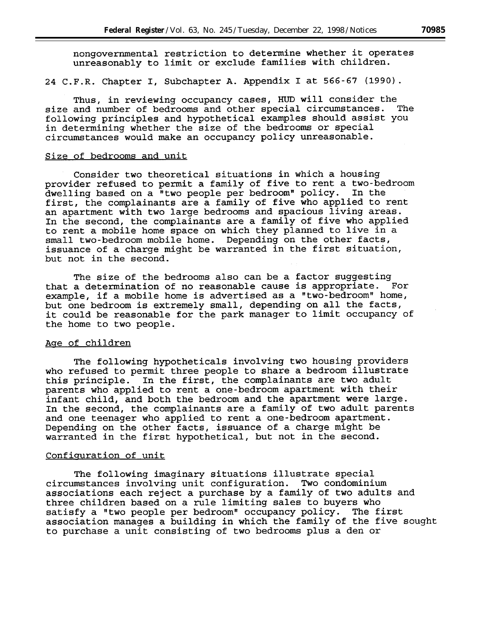nongovernmental restriction to determine whether it operates unreasonably to limit or exclude families with children.

24 C.F.R. Chapter I, Subchapter A. Appendix I at 566-67 (1990).

Thus, in reviewing occupancy cases, HUD will consider the size and number of bedrooms and other special circumstances. **The** following principles and hypothetical examples should assist you in determining whether the size of the bedrooms or special circumstances would make an occupancy policy unreasonable.

# Size of bedrooms and unit

Consider two theoretical situations in which a housing provider refused to permit a family of five to rent a two-bedroom dwelling based on a "two people per bedroom" policy. In the first, the complainants are a family of five who applied to rent an apartment with two large bedrooms and spacious living areas. In the second, the complainants are a family of five who applied to rent a mobile home space on which they planned to live in a small two-bedroom mobile home. Depending on the other facts, issuance of a charge might be warranted in the first situation, but not in the second.

The size of the bedrooms also can be a factor suggesting that a determination of no reasonable cause is appropriate. For example, if a mobile home is advertised as a "two-bedroom" home, but one bedroom is extremely small, depending on all the facts, it could be reasonable for the park manager to limit occupancy of the home to two people.

### Age of children

The following hypotheticals involving two housing providers who refused to permit three people to share a bedroom illustrate this principle. In the first, the complainants are two adult parents who applied to rent a one-bedroom apartment with their infant child, and both the bedroom and the apartment were large. In the second, the complainants are a family of two adult parents and one teenager who applied to rent a one-bedroom apartment. Depending on the other facts, issuance of a charge might be warranted in the first hypothetical, but not in the second.

# Configuration of unit

The following imaginary situations illustrate special circumstances involving unit configuration. Two condominium associations each reject a purchase by a family of two adults and three children based on a rule limiting sales to buyers who satisfy a "two people per bedroom" occupancy policy. The first association manages a building in which the family of the five sought to purchase a unit consisting of two bedrooms plus a den or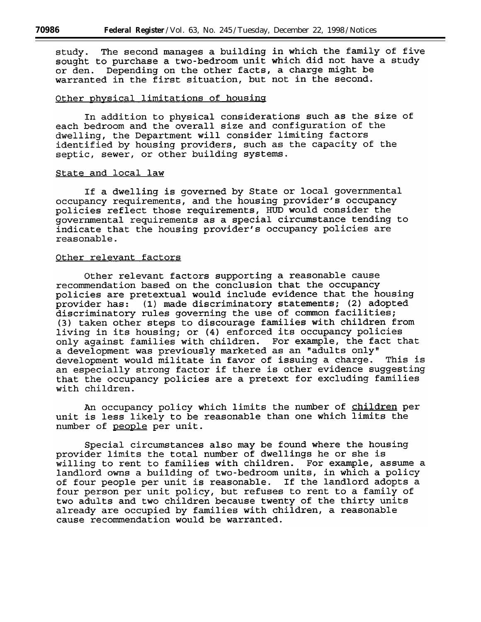study. The second manages a building in which the family of five sought to purchase a two-bedroom unit which did not have a study or den. Depending on the other facts, a charge might be warranted in the first situation, but not in the second.

## Other physical limitations of housing

In addition to physical considerations such as the size of each bedroom and the overall size and configuration of the dwelling, the Department will consider limiting factors identified by housing providers, such as the capacity of the septic, sewer, or other building systems.

# State and local law

If a dwelling is governed by State or local governmental occupancy requirements, and the housing provider's occupancy policies reflect those requirements, HUD would consider the governmental requirements as a special circumstance tending to indicate that the housing provider's occupancy policies are reasonable.

# Other relevant factors

Other relevant factors supporting a reasonable cause recommendation based on the conclusion that the occupancy policies are pretextual would include evidence that the housing provider has: (1) made discriminatory statements; (2) adopted discriminatory rules governing the use of common facilities; (3) taken other steps to discourage families with children from living in its housing; or (4) enforced its occupancy policies only against families with children. For example, the fact that a development was previously marketed as an "adults only" development would militate in favor of issuing a charge. This is an especially strong factor if there is other evidence suggesting that the occupancy policies are a pretext for excluding families with children.

An occupancy policy which limits the number of children per unit is less likely to be reasonable than one which limits the number of people per unit.

Special circumstances also may be found where the housing provider limits the total number of dwellings he or she is willing to rent to families with children. For example, assume a landlord owns a building of two-bedroom units, in which a policy of four people per unit is reasonable. If the landlord adopts a four person per unit policy, but refuses to rent to a family of two adults and two children because twenty of the thirty units already are occupied by families with children, a reasonable cause recommendation would be warranted.